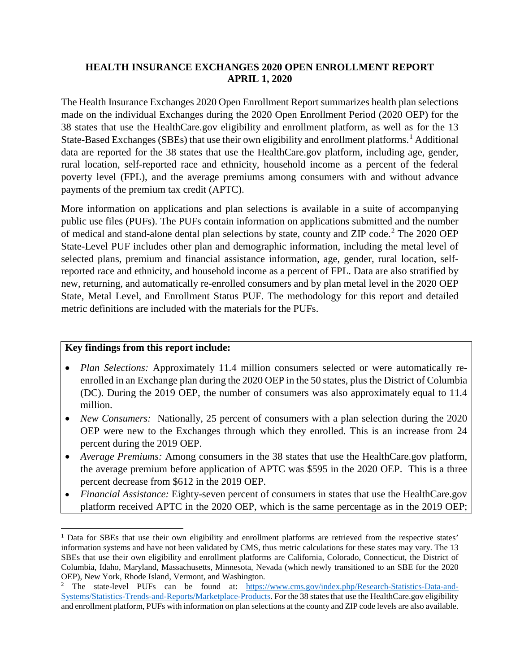## **HEALTH INSURANCE EXCHANGES 2020 OPEN ENROLLMENT REPORT APRIL 1, 2020**

The Health Insurance Exchanges 2020 Open Enrollment Report summarizes health plan selections made on the individual Exchanges during the 2020 Open Enrollment Period (2020 OEP) for the 38 states that use the HealthCare.gov eligibility and enrollment platform, as well as for the 13 State-Based Exchanges (SBEs) that use their own eligibility and enrollment platforms.<sup>[1](#page-0-0)</sup> Additional data are reported for the 38 states that use the HealthCare.gov platform, including age, gender, rural location, self-reported race and ethnicity, household income as a percent of the federal poverty level (FPL), and the average premiums among consumers with and without advance payments of the premium tax credit (APTC).

More information on applications and plan selections is available in a suite of accompanying public use files (PUFs). The PUFs contain information on applications submitted and the number of medical and stand-alone dental plan selections by state, county and ZIP code.<sup>[2](#page-0-1)</sup> The 2020 OEP State-Level PUF includes other plan and demographic information, including the metal level of selected plans, premium and financial assistance information, age, gender, rural location, selfreported race and ethnicity, and household income as a percent of FPL. Data are also stratified by new, returning, and automatically re-enrolled consumers and by plan metal level in the 2020 OEP State, Metal Level, and Enrollment Status PUF. The methodology for this report and detailed metric definitions are included with the materials for the PUFs.

## **Key findings from this report include:**

l

- *Plan Selections:* Approximately 11.4 million consumers selected or were automatically reenrolled in an Exchange plan during the 2020 OEP in the 50 states, plus the District of Columbia (DC). During the 2019 OEP, the number of consumers was also approximately equal to 11.4 million.
- *New Consumers:* Nationally, 25 percent of consumers with a plan selection during the 2020 OEP were new to the Exchanges through which they enrolled. This is an increase from 24 percent during the 2019 OEP.
- *Average Premiums:* Among consumers in the 38 states that use the HealthCare.gov platform, the average premium before application of APTC was \$595 in the 2020 OEP. This is a three percent decrease from \$612 in the 2019 OEP.
- *Financial Assistance:* Eighty-seven percent of consumers in states that use the HealthCare.gov platform received APTC in the 2020 OEP, which is the same percentage as in the 2019 OEP;

<span id="page-0-0"></span><sup>&</sup>lt;sup>1</sup> Data for SBEs that use their own eligibility and enrollment platforms are retrieved from the respective states' information systems and have not been validated by CMS, thus metric calculations for these states may vary. The 13 SBEs that use their own eligibility and enrollment platforms are California, Colorado, Connecticut, the District of Columbia, Idaho, Maryland, Massachusetts, Minnesota, Nevada (which newly transitioned to an SBE for the 2020 OEP), New York, Rhode Island, Vermont, and Washington.

<span id="page-0-1"></span><sup>&</sup>lt;sup>2</sup> The state-level PUFs can be found at: [https://www.cms.gov/index.php/Research-Statistics-Data-and-](https://www.cms.gov/index.php/Research-Statistics-Data-and-Systems/Statistics-Trends-and-Reports/Marketplace-Products)[Systems/Statistics-Trends-and-Reports/Marketplace-Products.](https://www.cms.gov/index.php/Research-Statistics-Data-and-Systems/Statistics-Trends-and-Reports/Marketplace-Products) For the 38 states that use the HealthCare.gov eligibility and enrollment platform, PUFs with information on plan selections at the county and ZIP code levels are also available.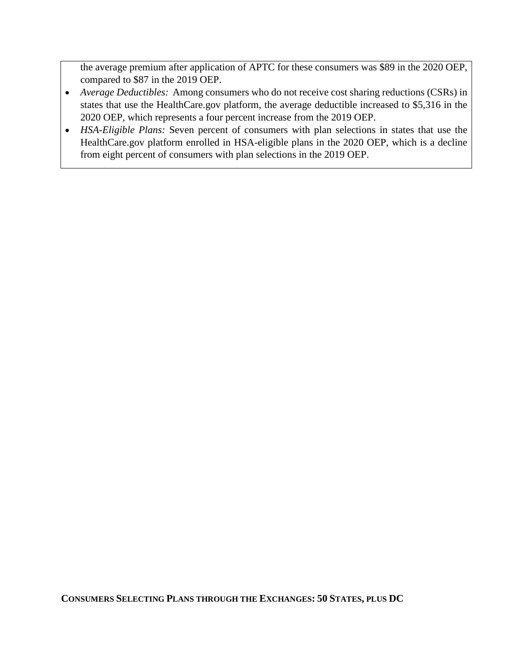the average premium after application of APTC for these consumers was \$89 in the 2020 OEP, compared to \$87 in the 2019 OEP.

- *Average Deductibles:* Among consumers who do not receive cost sharing reductions (CSRs) in states that use the HealthCare.gov platform, the average deductible increased to \$5,316 in the 2020 OEP, which represents a four percent increase from the 2019 OEP.
- *HSA-Eligible Plans:* Seven percent of consumers with plan selections in states that use the HealthCare.gov platform enrolled in HSA-eligible plans in the 2020 OEP, which is a decline from eight percent of consumers with plan selections in the 2019 OEP.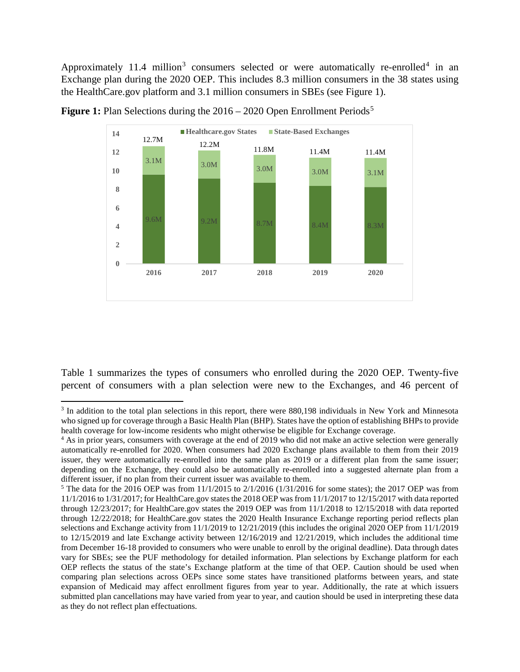Approximately 11.4 million<sup>[3](#page-2-0)</sup> consumers selected or were automatically re-enrolled<sup>[4](#page-2-1)</sup> in an Exchange plan during the 2020 OEP. This includes 8.3 million consumers in the 38 states using the HealthCare.gov platform and 3.1 million consumers in SBEs (see Figure 1).



**Figure 1:** Plan Selections during the 2016 – 2020 Open Enrollment Periods<sup>[5](#page-2-2)</sup>

Table 1 summarizes the types of consumers who enrolled during the 2020 OEP. Twenty-five percent of consumers with a plan selection were new to the Exchanges, and 46 percent of

l

<span id="page-2-0"></span><sup>&</sup>lt;sup>3</sup> In addition to the total plan selections in this report, there were 880,198 individuals in New York and Minnesota who signed up for coverage through a Basic Health Plan (BHP). States have the option of establishing BHPs to provide health coverage for low-income residents who might otherwise be eligible for Exchange coverage.

<span id="page-2-1"></span><sup>&</sup>lt;sup>4</sup> As in prior years, consumers with coverage at the end of 2019 who did not make an active selection were generally automatically re-enrolled for 2020. When consumers had 2020 Exchange plans available to them from their 2019 issuer, they were automatically re-enrolled into the same plan as 2019 or a different plan from the same issuer; depending on the Exchange, they could also be automatically re-enrolled into a suggested alternate plan from a different issuer, if no plan from their current issuer was available to them.

<span id="page-2-2"></span> $5$  The data for the 2016 OEP was from  $11/1/2015$  to  $2/1/2016$  (1/31/2016 for some states); the 2017 OEP was from 11/1/2016 to 1/31/2017; for HealthCare.gov states the 2018 OEP was from 11/1/2017 to 12/15/2017 with data reported through 12/23/2017; for HealthCare.gov states the 2019 OEP was from 11/1/2018 to 12/15/2018 with data reported through 12/22/2018; for HealthCare.gov states the 2020 Health Insurance Exchange reporting period reflects plan selections and Exchange activity from 11/1/2019 to 12/21/2019 (this includes the original 2020 OEP from 11/1/2019 to 12/15/2019 and late Exchange activity between 12/16/2019 and 12/21/2019, which includes the additional time from December 16-18 provided to consumers who were unable to enroll by the original deadline). Data through dates vary for SBEs; see the PUF methodology for detailed information. Plan selections by Exchange platform for each OEP reflects the status of the state's Exchange platform at the time of that OEP. Caution should be used when comparing plan selections across OEPs since some states have transitioned platforms between years, and state expansion of Medicaid may affect enrollment figures from year to year. Additionally, the rate at which issuers submitted plan cancellations may have varied from year to year, and caution should be used in interpreting these data as they do not reflect plan effectuations.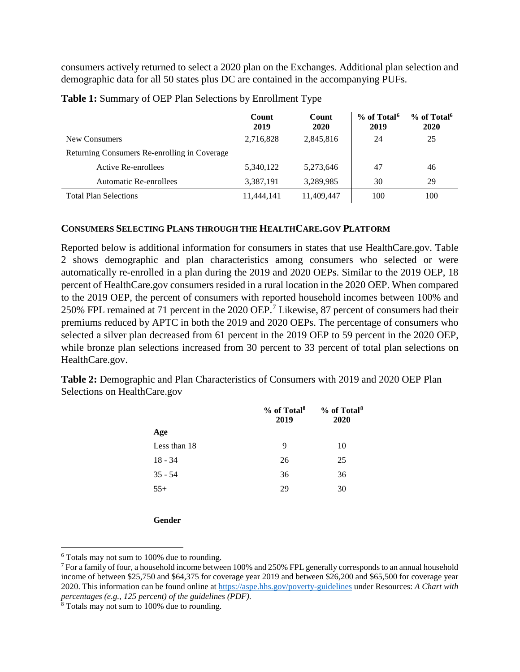consumers actively returned to select a 2020 plan on the Exchanges. Additional plan selection and demographic data for all 50 states plus DC are contained in the accompanying PUFs.

|                                              | Count<br>2019 | Count<br>2020 | % of Total <sup>6</sup><br>2019 | % of Total <sup>6</sup><br>2020 |
|----------------------------------------------|---------------|---------------|---------------------------------|---------------------------------|
| New Consumers                                | 2,716,828     | 2,845,816     | 24                              | 25                              |
| Returning Consumers Re-enrolling in Coverage |               |               |                                 |                                 |
| Active Re-enrollees                          | 5.340.122     | 5,273,646     | 47                              | 46                              |
| <b>Automatic Re-enrollees</b>                | 3,387,191     | 3,289,985     | 30                              | 29                              |
| <b>Total Plan Selections</b>                 | 11,444,141    | 11,409,447    | 100                             | 100                             |

**Table 1:** Summary of OEP Plan Selections by Enrollment Type

## **CONSUMERS SELECTING PLANS THROUGH THE HEALTHCARE.GOV PLATFORM**

Reported below is additional information for consumers in states that use HealthCare.gov. Table 2 shows demographic and plan characteristics among consumers who selected or were automatically re-enrolled in a plan during the 2019 and 2020 OEPs. Similar to the 2019 OEP, 18 percent of HealthCare.gov consumers resided in a rural location in the 2020 OEP. When compared to the 2019 OEP, the percent of consumers with reported household incomes between 100% and 250% FPL remained at 71 percent in the 2020 OEP.[7](#page-3-1) Likewise, 87 percent of consumers had their premiums reduced by APTC in both the 2019 and 2020 OEPs. The percentage of consumers who selected a silver plan decreased from 61 percent in the 2019 OEP to 59 percent in the 2020 OEP, while bronze plan selections increased from 30 percent to 33 percent of total plan selections on HealthCare.gov.

**Table 2:** Demographic and Plan Characteristics of Consumers with 2019 and 2020 OEP Plan Selections on HealthCare.gov

|              | % of Total <sup>8</sup><br>2019 | % of Total <sup>8</sup><br>2020 |  |  |
|--------------|---------------------------------|---------------------------------|--|--|
| Age          |                                 |                                 |  |  |
| Less than 18 | 9                               | 10                              |  |  |
| $18 - 34$    | 26                              | 25                              |  |  |
| $35 - 54$    | 36                              | 36                              |  |  |
| $55+$        | 29                              | 30                              |  |  |
|              |                                 |                                 |  |  |

**Gender**

 $\overline{a}$ 

<span id="page-3-0"></span><sup>6</sup> Totals may not sum to 100% due to rounding.

<span id="page-3-1"></span><sup>7</sup> For a family of four, a household income between 100% and 250% FPL generally corresponds to an annual household income of between \$25,750 and \$64,375 for coverage year 2019 and between \$26,200 and \$65,500 for coverage year 2020. This information can be found online at <https://aspe.hhs.gov/poverty-guidelines> under Resources: *A Chart with percentages (e.g., 125 percent) of the guidelines (PDF)*.

<span id="page-3-2"></span><sup>&</sup>lt;sup>8</sup> Totals may not sum to 100% due to rounding.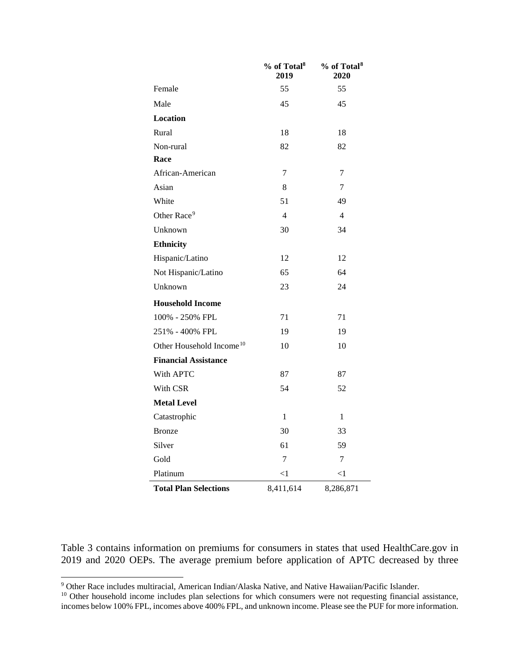|                                      | % of Total <sup>8</sup><br>2019 | % of Total <sup>8</sup><br>2020 |
|--------------------------------------|---------------------------------|---------------------------------|
| Female                               | 55                              | 55                              |
| Male                                 | 45                              | 45                              |
| <b>Location</b>                      |                                 |                                 |
| Rural                                | 18                              | 18                              |
| Non-rural                            | 82                              | 82                              |
| Race                                 |                                 |                                 |
| African-American                     | 7                               | 7                               |
| Asian                                | 8                               | 7                               |
| White                                | 51                              | 49                              |
| Other Race <sup>9</sup>              | $\overline{4}$                  | $\overline{4}$                  |
| Unknown                              | 30                              | 34                              |
| <b>Ethnicity</b>                     |                                 |                                 |
| Hispanic/Latino                      | 12                              | 12                              |
| Not Hispanic/Latino                  | 65                              | 64                              |
| Unknown                              | 23                              | 24                              |
| <b>Household Income</b>              |                                 |                                 |
| 100% - 250% FPL                      | 71                              | 71                              |
| 251% - 400% FPL                      | 19                              | 19                              |
| Other Household Income <sup>10</sup> | 10                              | 10                              |
| <b>Financial Assistance</b>          |                                 |                                 |
| With APTC                            | 87                              | 87                              |
| With CSR                             | 54                              | 52                              |
| <b>Metal Level</b>                   |                                 |                                 |
| Catastrophic                         | $\mathbf{1}$                    | $\mathbf{1}$                    |
| <b>Bronze</b>                        | 30                              | 33                              |
| Silver                               | 61                              | 59                              |
| Gold                                 | 7                               | 7                               |
| Platinum                             | $<$ 1                           | $<$ 1                           |
| <b>Total Plan Selections</b>         | 8,411,614                       | 8,286,871                       |

Table 3 contains information on premiums for consumers in states that used HealthCare.gov in 2019 and 2020 OEPs. The average premium before application of APTC decreased by three

l

<span id="page-4-0"></span><sup>&</sup>lt;sup>9</sup> Other Race includes multiracial, American Indian/Alaska Native, and Native Hawaiian/Pacific Islander.

<span id="page-4-1"></span> $10$  Other household income includes plan selections for which consumers were not requesting financial assistance, incomes below 100% FPL, incomes above 400% FPL, and unknown income. Please see the PUF for more information.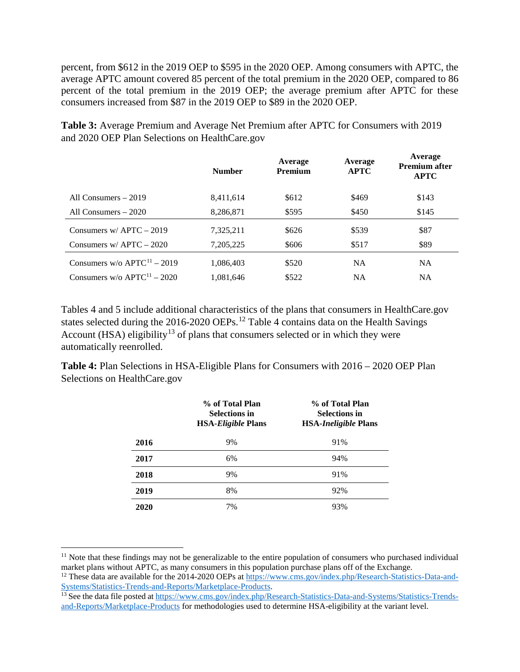percent, from \$612 in the 2019 OEP to \$595 in the 2020 OEP. Among consumers with APTC, the average APTC amount covered 85 percent of the total premium in the 2020 OEP, compared to 86 percent of the total premium in the 2019 OEP; the average premium after APTC for these consumers increased from \$87 in the 2019 OEP to \$89 in the 2020 OEP.

|                                           | <b>Number</b> | Average<br><b>Premium</b> | Average<br><b>APTC</b> | Average<br><b>Premium after</b><br><b>APTC</b> |
|-------------------------------------------|---------------|---------------------------|------------------------|------------------------------------------------|
| All Consumers $-2019$                     | 8,411,614     | \$612                     | \$469                  | \$143                                          |
| All Consumers – 2020                      | 8,286,871     | \$595                     | \$450                  | \$145                                          |
| Consumers $w/$ APTC $-$ 2019              | 7,325,211     | \$626                     | \$539                  | \$87                                           |
| Consumers w/APTC $-2020$                  | 7,205,225     | \$606                     | \$517                  | \$89                                           |
| Consumers w/o $APTC^{11} - 2019$          | 1,086,403     | \$520                     | <b>NA</b>              | <b>NA</b>                                      |
| Consumers $w/o$ APTC <sup>11</sup> – 2020 | 1.081.646     | \$522                     | <b>NA</b>              | <b>NA</b>                                      |

**Table 3:** Average Premium and Average Net Premium after APTC for Consumers with 2019 and 2020 OEP Plan Selections on HealthCare.gov

Tables 4 and 5 include additional characteristics of the plans that consumers in HealthCare.gov states selected during the 2016-2020 OEPs.<sup>[12](#page-5-1)</sup> Table 4 contains data on the Health Savings Account (HSA) eligibility<sup>[13](#page-5-2)</sup> of plans that consumers selected or in which they were automatically reenrolled.

**Table 4:** Plan Selections in HSA-Eligible Plans for Consumers with 2016 – 2020 OEP Plan Selections on HealthCare.gov

|      | % of Total Plan<br><b>Selections in</b><br><b>HSA-Eligible Plans</b> | % of Total Plan<br><b>Selections in</b><br><b>HSA-Ineligible Plans</b> |
|------|----------------------------------------------------------------------|------------------------------------------------------------------------|
| 2016 | 9%                                                                   | 91%                                                                    |
| 2017 | 6%                                                                   | 94%                                                                    |
| 2018 | 9%                                                                   | 91%                                                                    |
| 2019 | 8%                                                                   | 92%                                                                    |
| 2020 | 7%                                                                   | 93%                                                                    |

 $\overline{a}$ 

<span id="page-5-0"></span> $11$  Note that these findings may not be generalizable to the entire population of consumers who purchased individual market plans without APTC, as many consumers in this population purchase plans off of the Exchange.

<span id="page-5-1"></span><sup>&</sup>lt;sup>12</sup> These data are available for the 2014-2020 OEPs at [https://www.cms.gov/index.php/Research-Statistics-Data-and-](https://www.cms.gov/index.php/Research-Statistics-Data-and-Systems/Statistics-Trends-and-Reports/Marketplace-Products)[Systems/Statistics-Trends-and-Reports/Marketplace-Products.](https://www.cms.gov/index.php/Research-Statistics-Data-and-Systems/Statistics-Trends-and-Reports/Marketplace-Products)

<span id="page-5-2"></span><sup>&</sup>lt;sup>13</sup> See the data file posted a[t https://www.cms.gov/index.php/Research-Statistics-Data-and-Systems/Statistics-Trends](https://www.cms.gov/index.php/Research-Statistics-Data-and-Systems/Statistics-Trends-and-Reports/Marketplace-Products)[and-Reports/Marketplace-Products](https://www.cms.gov/index.php/Research-Statistics-Data-and-Systems/Statistics-Trends-and-Reports/Marketplace-Products) for methodologies used to determine HSA-eligibility at the variant level.